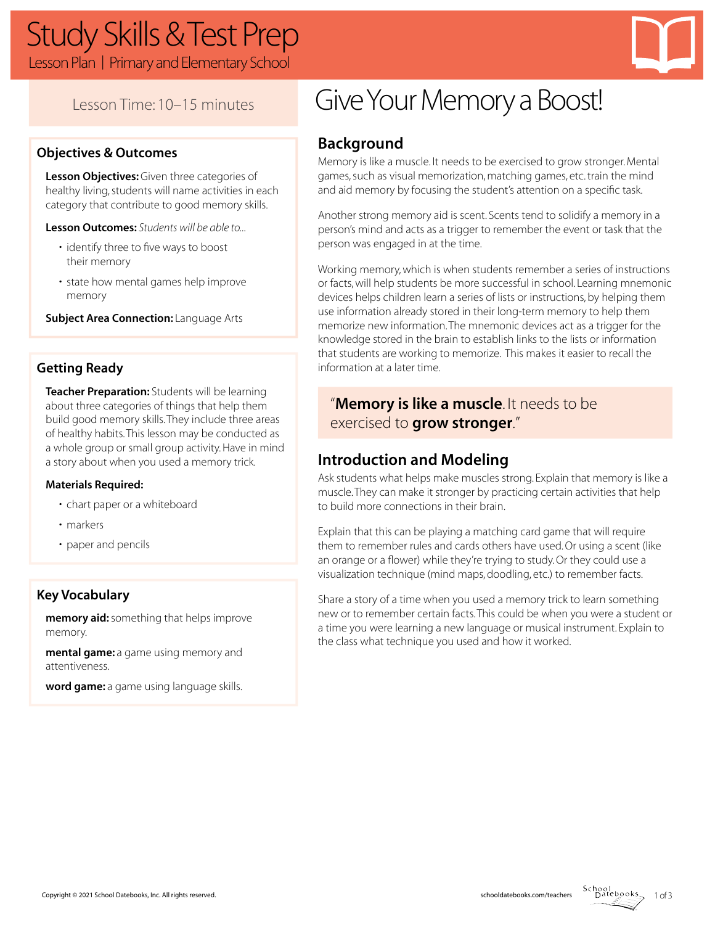

### Lesson Time: 10–15 minutes

### **Objectives & Outcomes**

**Lesson Objectives:** Given three categories of healthy living, students will name activities in each category that contribute to good memory skills.

**Lesson Outcomes:** *Students will be able to...*

- identify three to five ways to boost their memory
- state how mental games help improve memory

**Subject Area Connection: Language Arts** 

### **Getting Ready**

**Teacher Preparation:** Students will be learning about three categories of things that help them build good memory skills. They include three areas of healthy habits. This lesson may be conducted as a whole group or small group activity. Have in mind a story about when you used a memory trick.

#### **Materials Required:**

- chart paper or a whiteboard
- markers
- paper and pencils

#### **Key Vocabulary**

**memory aid:** something that helps improve memory.

**mental game:** a game using memory and attentiveness.

**word game:** a game using language skills.

# Give Your Memory a Boost!

### **Background**

Memory is like a muscle. It needs to be exercised to grow stronger. Mental games, such as visual memorization, matching games, etc. train the mind and aid memory by focusing the student's attention on a specific task.

Another strong memory aid is scent. Scents tend to solidify a memory in a person's mind and acts as a trigger to remember the event or task that the person was engaged in at the time.

Working memory, which is when students remember a series of instructions or facts, will help students be more successful in school. Learning mnemonic devices helps children learn a series of lists or instructions, by helping them use information already stored in their long-term memory to help them memorize new information. The mnemonic devices act as a trigger for the knowledge stored in the brain to establish links to the lists or information that students are working to memorize. This makes it easier to recall the information at a later time.

### "**Memory is like a muscle**. It needs to be exercised to **grow stronger**."

### **Introduction and Modeling**

Ask students what helps make muscles strong. Explain that memory is like a muscle. They can make it stronger by practicing certain activities that help to build more connections in their brain.

Explain that this can be playing a matching card game that will require them to remember rules and cards others have used. Or using a scent (like an orange or a flower) while they're trying to study. Or they could use a visualization technique (mind maps, doodling, etc.) to remember facts.

Share a story of a time when you used a memory trick to learn something new or to remember certain facts. This could be when you were a student or a time you were learning a new language or musical instrument. Explain to the class what technique you used and how it worked.

1 of 3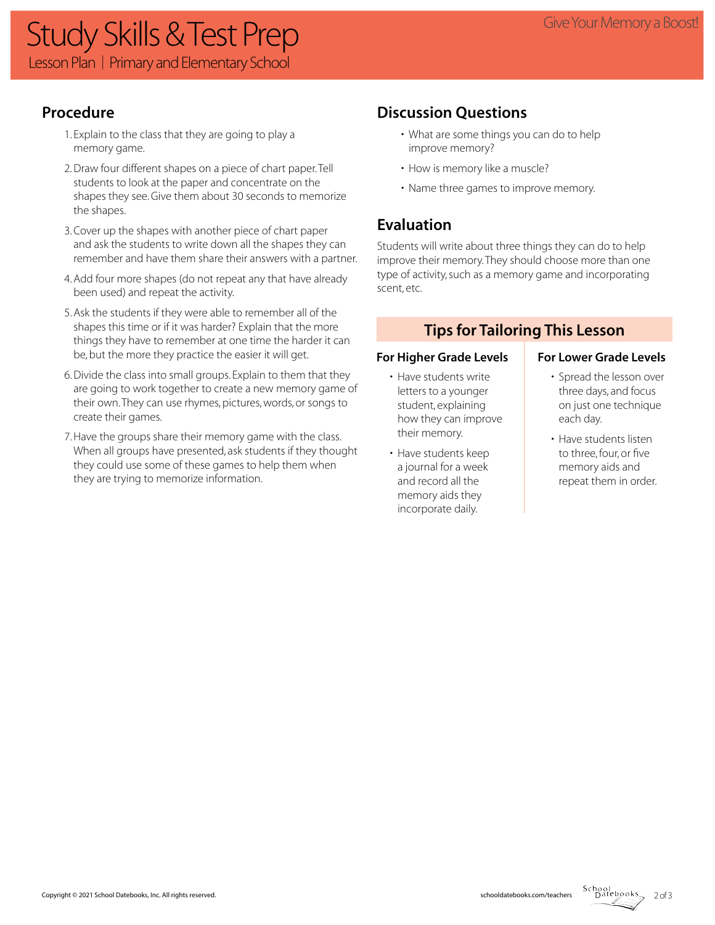### **Procedure**

- 1. Explain to the class that they are going to play a memory game.
- 2. Draw four different shapes on a piece of chart paper. Tell students to look at the paper and concentrate on the shapes they see. Give them about 30 seconds to memorize the shapes.
- 3. Cover up the shapes with another piece of chart paper and ask the students to write down all the shapes they can remember and have them share their answers with a partner.
- 4. Add four more shapes (do not repeat any that have already been used) and repeat the activity.
- 5. Ask the students if they were able to remember all of the shapes this time or if it was harder? Explain that the more things they have to remember at one time the harder it can be, but the more they practice the easier it will get.
- 6. Divide the class into small groups. Explain to them that they are going to work together to create a new memory game of their own. They can use rhymes, pictures, words, or songs to create their games.
- 7. Have the groups share their memory game with the class. When all groups have presented, ask students if they thought they could use some of these games to help them when they are trying to memorize information.

## **Discussion Questions**

- What are some things you can do to help improve memory?
- How is memory like a muscle?
- Name three games to improve memory.

### **Evaluation**

Students will write about three things they can do to help improve their memory. They should choose more than one type of activity, such as a memory game and incorporating scent, etc.

### **Tips for Tailoring This Lesson**

#### For Higher Grade Levels **For Lower Grade Levels**

- Have students write letters to a younger student, explaining how they can improve their memory.
- Have students keep a journal for a week and record all the memory aids they incorporate daily.

- Spread the lesson over three days, and focus on just one technique each day.
- Have students listen to three, four, or five memory aids and repeat them in order.